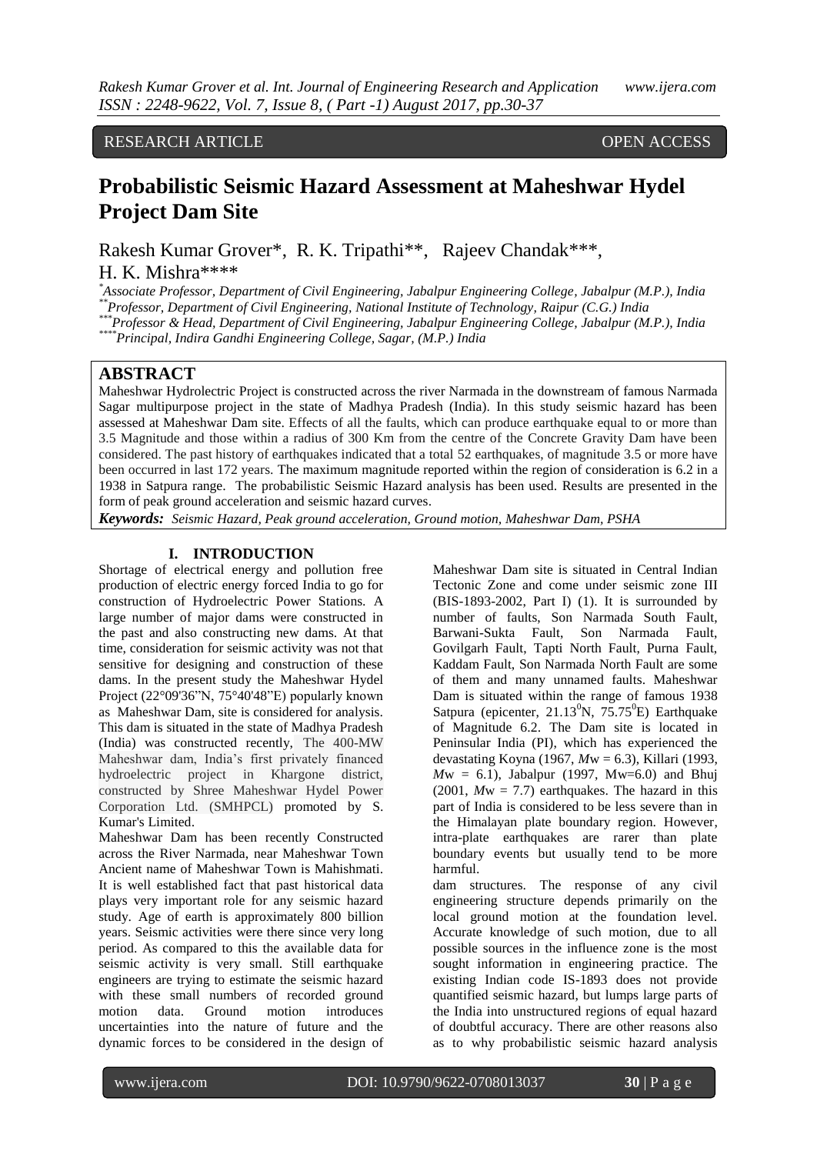## RESEARCH ARTICLE OPEN ACCESS

# **Probabilistic Seismic Hazard Assessment at Maheshwar Hydel Project Dam Site**

Rakesh Kumar Grover\*, R. K. Tripathi\*\*, Rajeev Chandak\*\*\*, H. K. Mishra\*\*\*\*

*\*Associate Professor, Department of Civil Engineering, Jabalpur Engineering College, Jabalpur (M.P.), India \*\*Professor, Department of Civil Engineering, National Institute of Technology, Raipur (C.G.) India*

*\*\*\*Professor & Head, Department of Civil Engineering, Jabalpur Engineering College, Jabalpur (M.P.), India*

*\*\*\*\*Principal, Indira Gandhi Engineering College, Sagar, (M.P.) India*

### **ABSTRACT**

Maheshwar Hydrolectric Project is constructed across the river Narmada in the downstream of famous Narmada Sagar multipurpose project in the state of Madhya Pradesh (India). In this study seismic hazard has been assessed at Maheshwar Dam site. Effects of all the faults, which can produce earthquake equal to or more than 3.5 Magnitude and those within a radius of 300 Km from the centre of the Concrete Gravity Dam have been considered. The past history of earthquakes indicated that a total 52 earthquakes, of magnitude 3.5 or more have been occurred in last 172 years. The maximum magnitude reported within the region of consideration is 6.2 in a 1938 in Satpura range. The probabilistic Seismic Hazard analysis has been used. Results are presented in the form of peak ground acceleration and seismic hazard curves.

*Keywords: Seismic Hazard, Peak ground acceleration, Ground motion, Maheshwar Dam, PSHA*

#### **I. INTRODUCTION**

Shortage of electrical energy and pollution free production of electric energy forced India to go for construction of Hydroelectric Power Stations. A large number of major dams were constructed in the past and also constructing new dams. At that time, consideration for seismic activity was not that sensitive for designing and construction of these dams. In the present study the Maheshwar Hydel Project (22°09'36"N, 75°40'48"E) popularly known as Maheshwar Dam, site is considered for analysis. This dam is situated in the state of Madhya Pradesh (India) was constructed recently, The 400-MW Maheshwar dam, India's first privately financed hydroelectric project in Khargone district, constructed by Shree Maheshwar Hydel Power Corporation Ltd. (SMHPCL) promoted by S. Kumar's Limited.

Maheshwar Dam has been recently Constructed across the River Narmada, near Maheshwar Town Ancient name of Maheshwar Town is Mahishmati. It is well established fact that past historical data plays very important role for any seismic hazard study. Age of earth is approximately 800 billion years. Seismic activities were there since very long period. As compared to this the available data for seismic activity is very small. Still earthquake engineers are trying to estimate the seismic hazard with these small numbers of recorded ground motion data. Ground motion introduces uncertainties into the nature of future and the dynamic forces to be considered in the design of Maheshwar Dam site is situated in Central Indian Tectonic Zone and come under seismic zone III (BIS-1893-2002, Part I) (1). It is surrounded by number of faults, Son Narmada South Fault, Barwani-Sukta Fault, Son Narmada Fault, Govilgarh Fault, Tapti North Fault, Purna Fault, Kaddam Fault, Son Narmada North Fault are some of them and many unnamed faults. Maheshwar Dam is situated within the range of famous 1938 Satpura (epicenter,  $21.13^{\circ}$ N,  $75.75^{\circ}$ E) Earthquake of Magnitude 6.2. The Dam site is located in Peninsular India (PI), which has experienced the devastating Koyna (1967, *M*w = 6.3), Killari (1993,  $Mw = 6.1$ ), Jabalpur (1997, Mw=6.0) and Bhuj  $(2001, Mw = 7.7)$  earthquakes. The hazard in this part of India is considered to be less severe than in the Himalayan plate boundary region. However, intra-plate earthquakes are rarer than plate boundary events but usually tend to be more harmful.

dam structures. The response of any civil engineering structure depends primarily on the local ground motion at the foundation level. Accurate knowledge of such motion, due to all possible sources in the influence zone is the most sought information in engineering practice. The existing Indian code IS-1893 does not provide quantified seismic hazard, but lumps large parts of the India into unstructured regions of equal hazard of doubtful accuracy. There are other reasons also as to why probabilistic seismic hazard analysis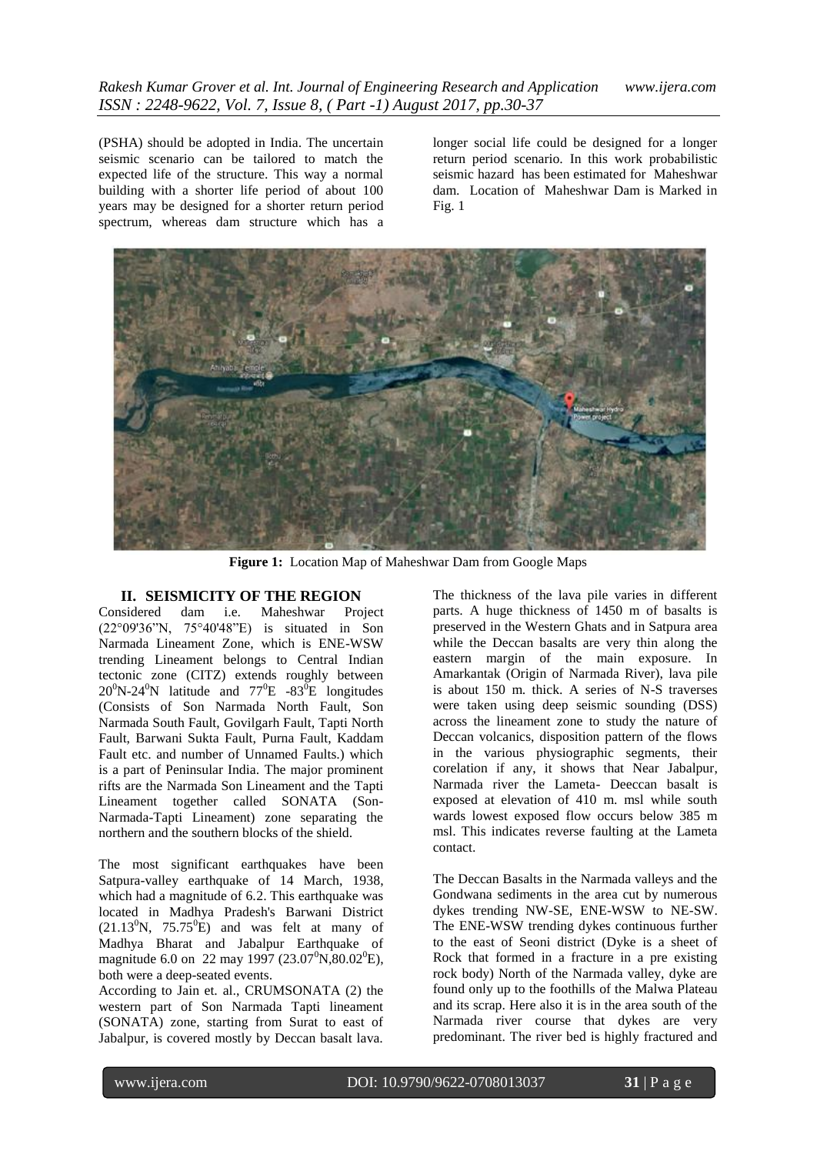(PSHA) should be adopted in India. The uncertain seismic scenario can be tailored to match the expected life of the structure. This way a normal building with a shorter life period of about 100 years may be designed for a shorter return period spectrum, whereas dam structure which has a longer social life could be designed for a longer return period scenario. In this work probabilistic seismic hazard has been estimated for Maheshwar dam. Location of Maheshwar Dam is Marked in Fig. 1



**Figure 1:** Location Map of Maheshwar Dam from Google Maps

### **II. SEISMICITY OF THE REGION**

Considered dam i.e. Maheshwar Project (22°09'36"N, 75°40'48"E) is situated in Son Narmada Lineament Zone, which is ENE-WSW trending Lineament belongs to Central Indian tectonic zone (CITZ) extends roughly between  $20^0$ N-24<sup>0</sup>N latitude and  $77^0$ E -83<sup>0</sup>E longitudes (Consists of Son Narmada North Fault, Son Narmada South Fault, Govilgarh Fault, Tapti North Fault, Barwani Sukta Fault, Purna Fault, Kaddam Fault etc. and number of Unnamed Faults.) which is a part of Peninsular India. The major prominent rifts are the Narmada Son Lineament and the Tapti Lineament together called SONATA (Son-Narmada-Tapti Lineament) zone separating the northern and the southern blocks of the shield.

The most significant earthquakes have been Satpura-valley earthquake of 14 March, 1938, which had a magnitude of 6.2. This earthquake was located in Madhya Pradesh's Barwani District  $(21.13^0N, 75.75^0E)$  and was felt at many of Madhya Bharat and Jabalpur Earthquake of magnitude 6.0 on 22 may 1997 (23.07<sup>0</sup>N,80.02<sup>0</sup>E), both were a deep-seated events.

According to Jain et. al., CRUMSONATA (2) the western part of Son Narmada Tapti lineament (SONATA) zone, starting from Surat to east of Jabalpur, is covered mostly by Deccan basalt lava. The thickness of the lava pile varies in different parts. A huge thickness of 1450 m of basalts is preserved in the Western Ghats and in Satpura area while the Deccan basalts are very thin along the eastern margin of the main exposure. In Amarkantak (Origin of Narmada River), lava pile is about 150 m. thick. A series of N-S traverses were taken using deep seismic sounding (DSS) across the lineament zone to study the nature of Deccan volcanics, disposition pattern of the flows in the various physiographic segments, their corelation if any, it shows that Near Jabalpur, Narmada river the Lameta- Deeccan basalt is exposed at elevation of 410 m. msl while south wards lowest exposed flow occurs below 385 m msl. This indicates reverse faulting at the Lameta contact.

The Deccan Basalts in the Narmada valleys and the Gondwana sediments in the area cut by numerous dykes trending NW-SE, ENE-WSW to NE-SW. The ENE-WSW trending dykes continuous further to the east of Seoni district (Dyke is a sheet of Rock that formed in a fracture in a pre existing rock body) North of the Narmada valley, dyke are found only up to the foothills of the Malwa Plateau and its scrap. Here also it is in the area south of the Narmada river course that dykes are very predominant. The river bed is highly fractured and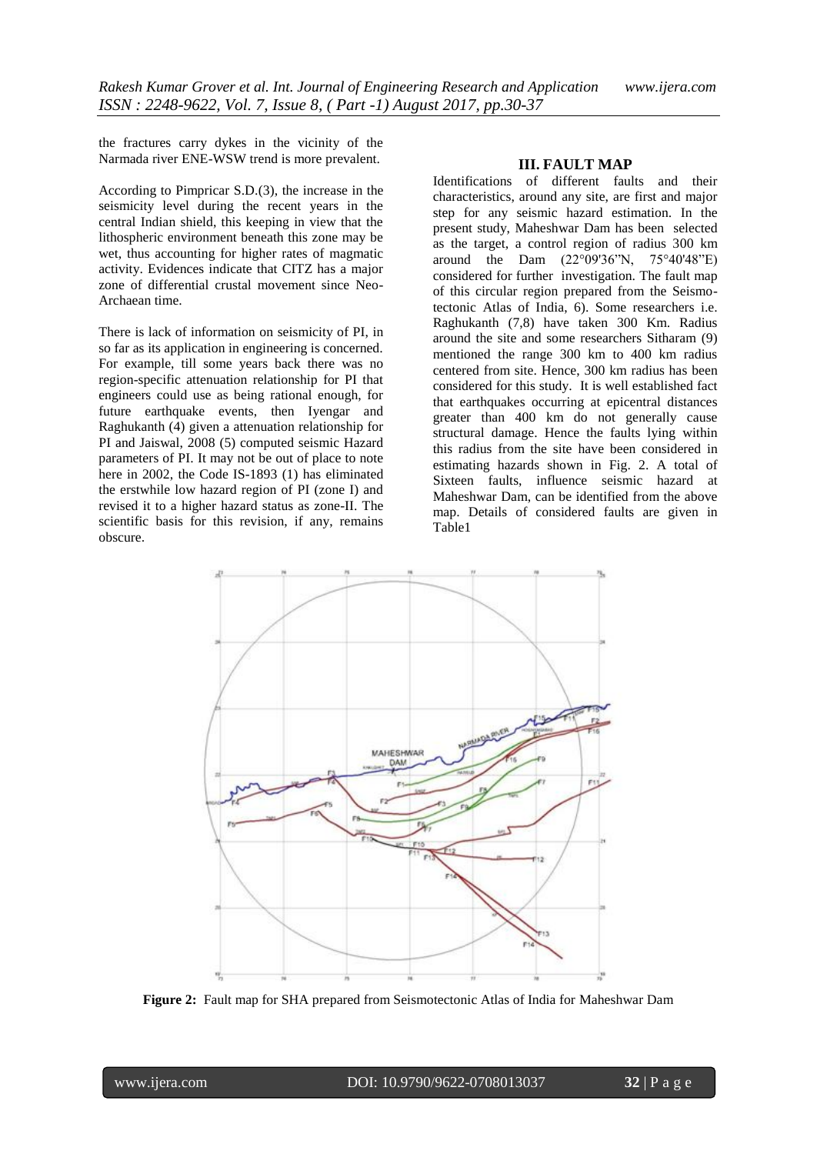the fractures carry dykes in the vicinity of the Narmada river ENE-WSW trend is more prevalent.

According to Pimpricar S.D.(3), the increase in the seismicity level during the recent years in the central Indian shield, this keeping in view that the lithospheric environment beneath this zone may be wet, thus accounting for higher rates of magmatic activity. Evidences indicate that CITZ has a major zone of differential crustal movement since Neo-Archaean time.

There is lack of information on seismicity of PI, in so far as its application in engineering is concerned. For example, till some years back there was no region-specific attenuation relationship for PI that engineers could use as being rational enough, for future earthquake events, then Iyengar and Raghukanth (4) given a attenuation relationship for PI and Jaiswal, 2008 (5) computed seismic Hazard parameters of PI. It may not be out of place to note here in 2002, the Code IS-1893 (1) has eliminated the erstwhile low hazard region of PI (zone I) and revised it to a higher hazard status as zone-II. The scientific basis for this revision, if any, remains obscure.

#### **III. FAULT MAP**

Identifications of different faults and their characteristics, around any site, are first and major step for any seismic hazard estimation. In the present study, Maheshwar Dam has been selected as the target, a control region of radius 300 km around the Dam (22°09'36"N, 75°40'48"E) considered for further investigation. The fault map of this circular region prepared from the Seismotectonic Atlas of India, 6). Some researchers i.e. Raghukanth (7,8) have taken 300 Km. Radius around the site and some researchers Sitharam (9) mentioned the range 300 km to 400 km radius centered from site. Hence, 300 km radius has been considered for this study. It is well established fact that earthquakes occurring at epicentral distances greater than 400 km do not generally cause structural damage. Hence the faults lying within this radius from the site have been considered in estimating hazards shown in Fig. 2. A total of Sixteen faults, influence seismic hazard at Maheshwar Dam, can be identified from the above map. Details of considered faults are given in Table1



**Figure 2:** Fault map for SHA prepared from Seismotectonic Atlas of India for Maheshwar Dam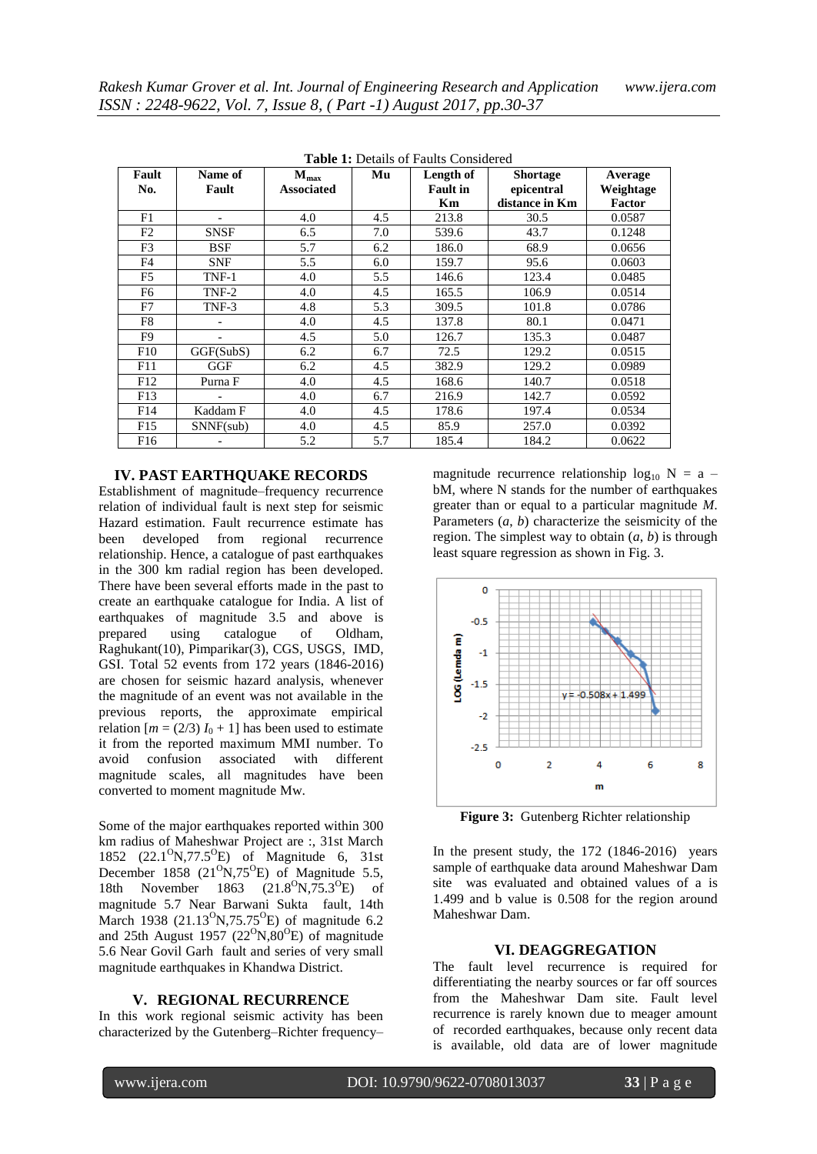| Fault<br>No.    | Name of<br>Fault | $M_{\rm max}$<br><b>Associated</b> | Mu  | Length of<br><b>Fault in</b><br>Km | <b>Shortage</b><br>epicentral<br>distance in Km | Average<br>Weightage<br>Factor |
|-----------------|------------------|------------------------------------|-----|------------------------------------|-------------------------------------------------|--------------------------------|
| F1              |                  | 4.0                                | 4.5 | 213.8                              | 30.5                                            | 0.0587                         |
| F <sub>2</sub>  | <b>SNSF</b>      | 6.5                                | 7.0 | 539.6                              | 43.7                                            | 0.1248                         |
| F3              | <b>BSF</b>       | 5.7                                | 6.2 | 186.0                              | 68.9                                            | 0.0656                         |
| F4              | <b>SNF</b>       | 5.5                                | 6.0 | 159.7                              | 95.6                                            | 0.0603                         |
| F5              | TNF-1            | 4.0                                | 5.5 | 146.6                              | 123.4                                           | 0.0485                         |
| F6              | TNF-2            | 4.0                                | 4.5 | 165.5                              | 106.9                                           | 0.0514                         |
| F7              | TNF-3            | 4.8                                | 5.3 | 309.5                              | 101.8                                           | 0.0786                         |
| F8              |                  | 4.0                                | 4.5 | 137.8                              | 80.1                                            | 0.0471                         |
| F9              |                  | 4.5                                | 5.0 | 126.7                              | 135.3                                           | 0.0487                         |
| F10             | GGF(SubS)        | 6.2                                | 6.7 | 72.5                               | 129.2                                           | 0.0515                         |
| F11             | GGF              | 6.2                                | 4.5 | 382.9                              | 129.2                                           | 0.0989                         |
| F12             | Purna F          | 4.0                                | 4.5 | 168.6                              | 140.7                                           | 0.0518                         |
| F13             |                  | 4.0                                | 6.7 | 216.9                              | 142.7                                           | 0.0592                         |
| F14             | Kaddam F         | 4.0                                | 4.5 | 178.6                              | 197.4                                           | 0.0534                         |
| F15             | SNNF(sub)        | 4.0                                | 4.5 | 85.9                               | 257.0                                           | 0.0392                         |
| F <sub>16</sub> |                  | 5.2                                | 5.7 | 185.4                              | 184.2                                           | 0.0622                         |

**Table 1:** Details of Faults Considered

#### **IV. PAST EARTHQUAKE RECORDS**

Establishment of magnitude–frequency recurrence relation of individual fault is next step for seismic Hazard estimation. Fault recurrence estimate has been developed from regional recurrence relationship. Hence, a catalogue of past earthquakes in the 300 km radial region has been developed. There have been several efforts made in the past to create an earthquake catalogue for India. A list of earthquakes of magnitude 3.5 and above is prepared using catalogue of Oldham, Raghukant(10), Pimparikar(3), CGS, USGS, IMD, GSI. Total 52 events from 172 years (1846-2016) are chosen for seismic hazard analysis, whenever the magnitude of an event was not available in the previous reports, the approximate empirical relation  $[m = (2/3) I_0 + 1]$  has been used to estimate it from the reported maximum MMI number. To avoid confusion associated with different magnitude scales, all magnitudes have been converted to moment magnitude Mw.

Some of the major earthquakes reported within 300 km radius of Maheshwar Project are :, 31st March 1852 (22.1<sup>o</sup>N,77.5<sup>o</sup>E) of Magnitude 6, 31st December 1858  $(21^{\circ}N,75^{\circ}E)$  of Magnitude 5.5, 18th November 1863 (21.8<sup>o</sup>N,75.3<sup>o</sup>E) of magnitude 5.7 Near Barwani Sukta fault, 14th March 1938 (21.13 $^{0}$ N,75.75 $^{0}$ E) of magnitude 6.2 and 25th August 1957 ( $22^{\circ}N,80^{\circ}E$ ) of magnitude 5.6 Near Govil Garh fault and series of very small magnitude earthquakes in Khandwa District.

#### **V. REGIONAL RECURRENCE**

In this work regional seismic activity has been characterized by the Gutenberg–Richter frequency–

magnitude recurrence relationship  $log_{10} N = a$  – bM, where N stands for the number of earthquakes greater than or equal to a particular magnitude *M*. Parameters (*a*, *b*) characterize the seismicity of the region. The simplest way to obtain  $(a, b)$  is through least square regression as shown in Fig. 3.



**Figure 3:** Gutenberg Richter relationship

In the present study, the 172 (1846-2016) years sample of earthquake data around Maheshwar Dam site was evaluated and obtained values of a is 1.499 and b value is 0.508 for the region around Maheshwar Dam.

#### **VI. DEAGGREGATION**

The fault level recurrence is required for differentiating the nearby sources or far off sources from the Maheshwar Dam site. Fault level recurrence is rarely known due to meager amount of recorded earthquakes, because only recent data is available, old data are of lower magnitude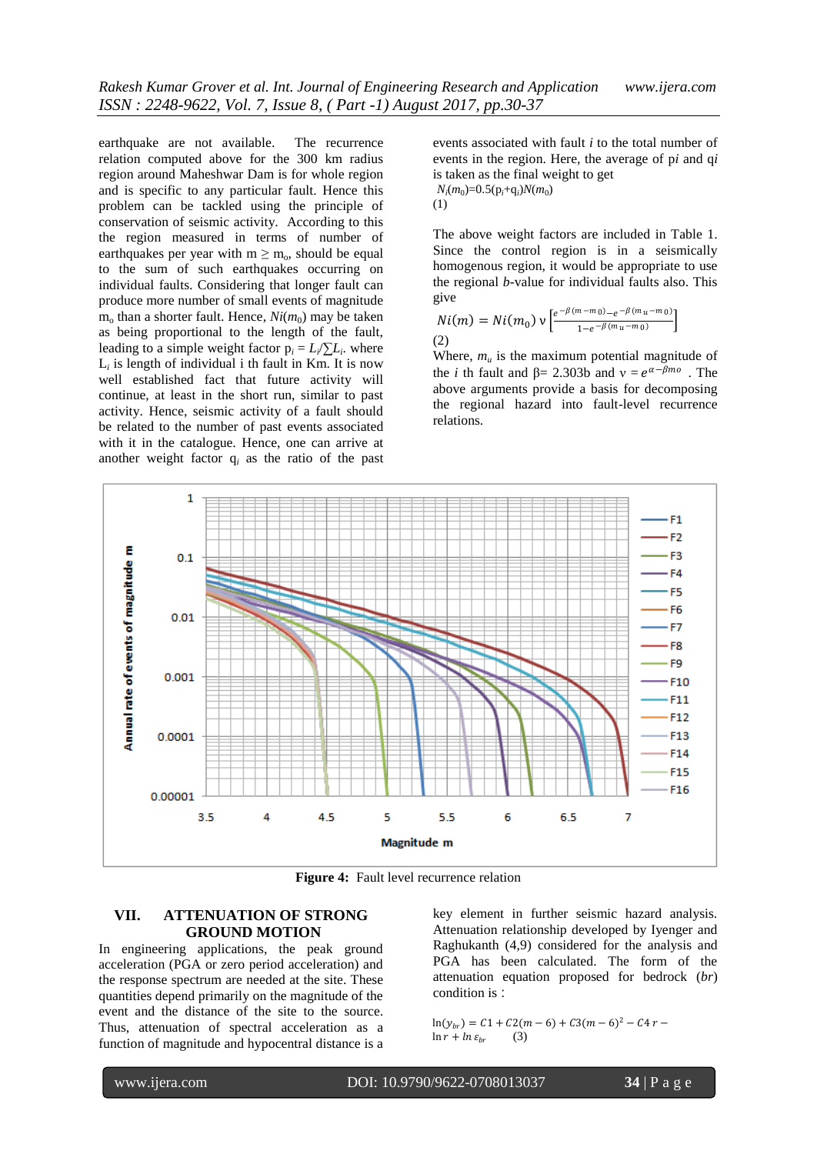earthquake are not available. The recurrence relation computed above for the 300 km radius region around Maheshwar Dam is for whole region and is specific to any particular fault. Hence this problem can be tackled using the principle of conservation of seismic activity. According to this the region measured in terms of number of earthquakes per year with  $m \ge m_0$ , should be equal to the sum of such earthquakes occurring on individual faults. Considering that longer fault can produce more number of small events of magnitude  $m_0$  than a shorter fault. Hence,  $Ni(m_0)$  may be taken as being proportional to the length of the fault, leading to a simple weight factor  $p_i = L_i / \sum L_i$ . where  $L_i$  is length of individual i th fault in Km. It is now well established fact that future activity will continue, at least in the short run, similar to past activity. Hence, seismic activity of a fault should be related to the number of past events associated with it in the catalogue. Hence, one can arrive at another weight factor q*<sup>i</sup>* as the ratio of the past

events associated with fault *i* to the total number of events in the region. Here, the average of p*i* and q*i*  is taken as the final weight to get  $N_i(m_0) = 0.5(p_i+q_i)N(m_0)$ 

(1)

The above weight factors are included in Table 1. Since the control region is in a seismically homogenous region, it would be appropriate to use the regional *b*-value for individual faults also. This give

$$
Ni(m) = Ni(m_0) \vee \left[ \frac{e^{-\beta(m-m_0)} - e^{-\beta(m_u - m_0)}}{1 - e^{-\beta(m_u - m_0)}} \right]
$$
\n(2)

Where,  $m_u$  is the maximum potential magnitude of the *i* th fault and  $\beta = 2.303b$  and  $v = e^{\alpha - \beta m o}$ . The above arguments provide a basis for decomposing the regional hazard into fault-level recurrence relations.



**Figure 4:** Fault level recurrence relation

### **VII. ATTENUATION OF STRONG GROUND MOTION**

In engineering applications, the peak ground acceleration (PGA or zero period acceleration) and the response spectrum are needed at the site. These quantities depend primarily on the magnitude of the event and the distance of the site to the source. Thus, attenuation of spectral acceleration as a function of magnitude and hypocentral distance is a

key element in further seismic hazard analysis. Attenuation relationship developed by Iyenger and Raghukanth (4,9) considered for the analysis and PGA has been calculated. The form of the attenuation equation proposed for bedrock (*br*) condition is :

 $\ln(y_{br}) = C1 + C2(m-6) + C3(m-6)^{2} - C4r \ln r + \ln \varepsilon_{br}$ (3)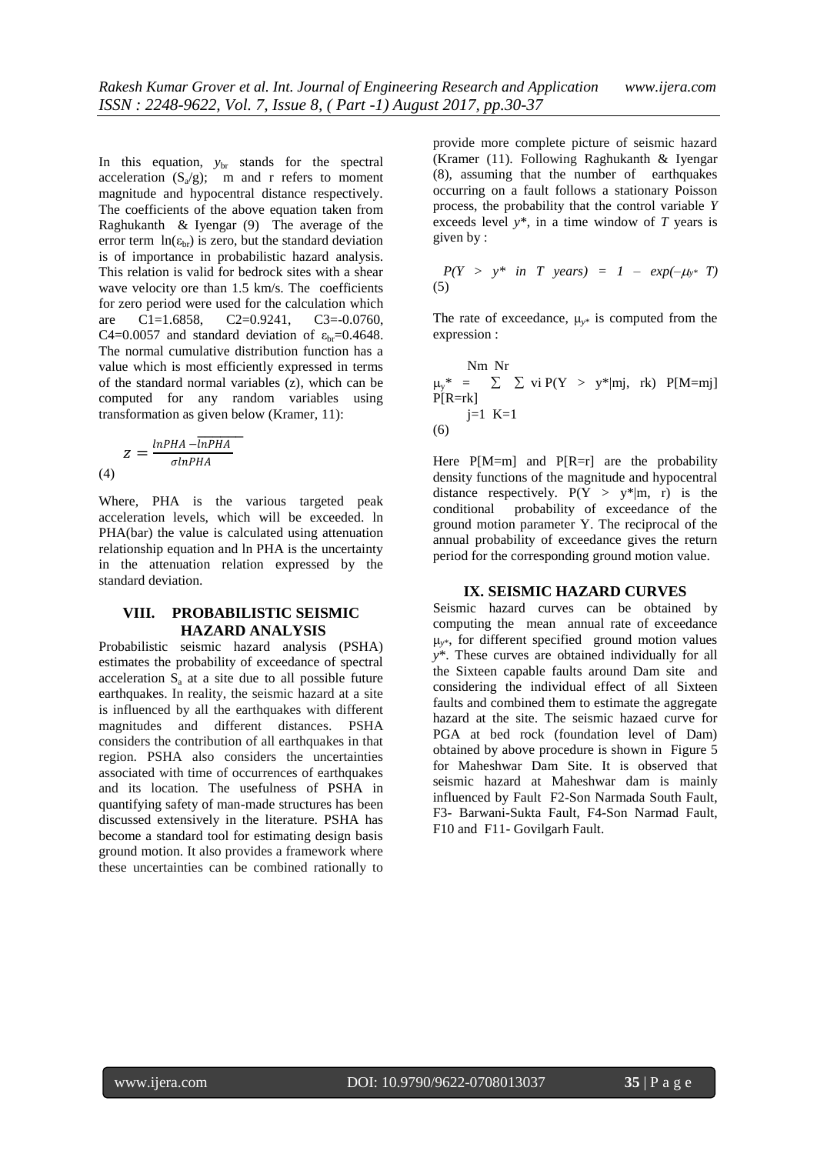In this equation,  $y_{\text{br}}$  stands for the spectral acceleration  $(S_a/g)$ ; m and r refers to moment magnitude and hypocentral distance respectively. The coefficients of the above equation taken from Raghukanth & Iyengar (9) The average of the error term  $ln(\epsilon_{\rm br})$  is zero, but the standard deviation is of importance in probabilistic hazard analysis. This relation is valid for bedrock sites with a shear wave velocity ore than 1.5 km/s. The coefficients for zero period were used for the calculation which are C1=1.6858, C2=0.9241, C3=-0.0760, C4=0.0057 and standard deviation of  $\varepsilon_{\rm br}$ =0.4648. The normal cumulative distribution function has a value which is most efficiently expressed in terms of the standard normal variables (z), which can be computed for any random variables using transformation as given below (Kramer, 11):

$$
z = \frac{\ln PHA - \overline{\ln PHA}}{\sigma \ln PHA}
$$
\n(4)

Where, PHA is the various targeted peak acceleration levels, which will be exceeded. ln PHA(bar) the value is calculated using attenuation relationship equation and ln PHA is the uncertainty in the attenuation relation expressed by the standard deviation.

### **VIII. PROBABILISTIC SEISMIC HAZARD ANALYSIS**

Probabilistic seismic hazard analysis (PSHA) estimates the probability of exceedance of spectral acceleration  $S<sub>a</sub>$  at a site due to all possible future earthquakes. In reality, the seismic hazard at a site is influenced by all the earthquakes with different magnitudes and different distances. PSHA considers the contribution of all earthquakes in that region. PSHA also considers the uncertainties associated with time of occurrences of earthquakes and its location. The usefulness of PSHA in quantifying safety of man-made structures has been discussed extensively in the literature. PSHA has become a standard tool for estimating design basis ground motion. It also provides a framework where these uncertainties can be combined rationally to

provide more complete picture of seismic hazard (Kramer (11). Following Raghukanth & Iyengar (8), assuming that the number of earthquakes occurring on a fault follows a stationary Poisson process, the probability that the control variable *Y*  exceeds level *y*\*, in a time window of *T* years is given by :

$$
P(Y > y^* \text{ in } T \text{ years}) = 1 - exp(-\mu y^* T)
$$
  
(5)

The rate of exceedance,  $\mu_{v^*}$  is computed from the expression :

Nm Nr  $\mu_y^*$  =  $\Sigma$   $\Sigma$  vi P(Y > y\*|mj, rk) P[M=mj]  $P[R=rk]$  $j=1$  K=1 (6)

Here  $P[M=m]$  and  $P[R=r]$  are the probability density functions of the magnitude and hypocentral distance respectively.  $P(Y > y^*|m, r)$  is the conditional probability of exceedance of the ground motion parameter Y. The reciprocal of the annual probability of exceedance gives the return period for the corresponding ground motion value.

#### **IX. SEISMIC HAZARD CURVES**

Seismic hazard curves can be obtained by computing the mean annual rate of exceedance μ*y*\*, for different specified ground motion values *y*\*. These curves are obtained individually for all the Sixteen capable faults around Dam site and considering the individual effect of all Sixteen faults and combined them to estimate the aggregate hazard at the site. The seismic hazaed curve for PGA at bed rock (foundation level of Dam) obtained by above procedure is shown in Figure 5 for Maheshwar Dam Site. It is observed that seismic hazard at Maheshwar dam is mainly influenced by Fault F2-Son Narmada South Fault, F3- Barwani-Sukta Fault, F4-Son Narmad Fault, F10 and F11- Govilgarh Fault.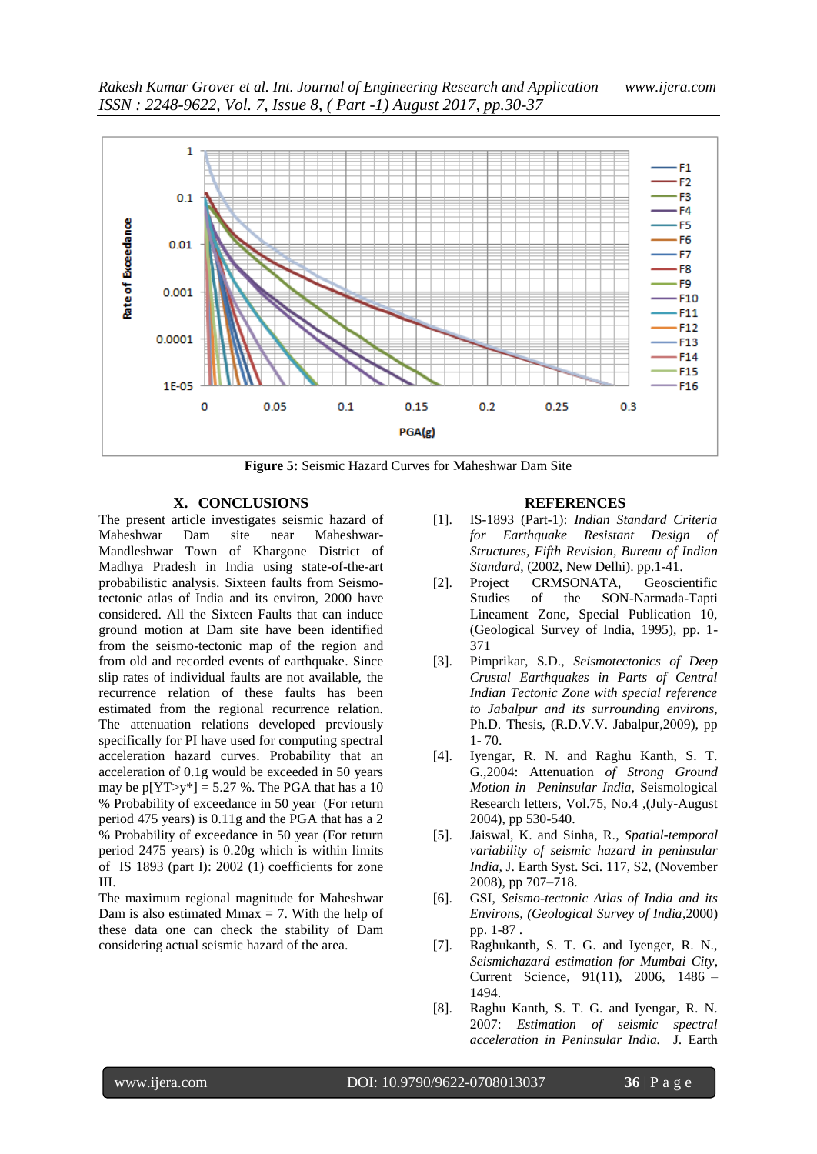

**Figure 5:** Seismic Hazard Curves for Maheshwar Dam Site

### **X. CONCLUSIONS**

The present article investigates seismic hazard of Maheshwar Dam site near Maheshwar-Mandleshwar Town of Khargone District of Madhya Pradesh in India using state-of-the-art probabilistic analysis. Sixteen faults from Seismotectonic atlas of India and its environ, 2000 have considered. All the Sixteen Faults that can induce ground motion at Dam site have been identified from the seismo-tectonic map of the region and from old and recorded events of earthquake. Since slip rates of individual faults are not available, the recurrence relation of these faults has been estimated from the regional recurrence relation. The attenuation relations developed previously specifically for PI have used for computing spectral acceleration hazard curves. Probability that an acceleration of 0.1g would be exceeded in 50 years may be  $p[YT > y^*] = 5.27$  %. The PGA that has a 10 % Probability of exceedance in 50 year (For return period 475 years) is 0.11g and the PGA that has a 2 % Probability of exceedance in 50 year (For return period 2475 years) is 0.20g which is within limits of IS 1893 (part I): 2002 (1) coefficients for zone III.

The maximum regional magnitude for Maheshwar Dam is also estimated Mmax  $= 7$ . With the help of these data one can check the stability of Dam considering actual seismic hazard of the area.

#### **REFERENCES**

- [1]. IS-1893 (Part-1): *Indian Standard Criteria for Earthquake Resistant Design of Structures, Fifth Revision, Bureau of Indian Standard*, (2002, New Delhi). pp.1-41.
- [2]. Project CRMSONATA, Geoscientific Studies of the SON-Narmada-Tapti Lineament Zone, Special Publication 10, (Geological Survey of India, 1995), pp. 1- 371
- [3]. Pimprikar, S.D., *Seismotectonics of Deep Crustal Earthquakes in Parts of Central Indian Tectonic Zone with special reference to Jabalpur and its surrounding environs,* Ph.D. Thesis, (R.D.V.V. Jabalpur,2009), pp 1- 70.
- [4]. Iyengar, R. N. and Raghu Kanth, S. T. G.,2004: Attenuation *of Strong Ground Motion in Peninsular India,* Seismological Research letters, Vol.75, No.4 ,(July-August 2004), pp 530-540.
- [5]. Jaiswal, K. and Sinha, R., *Spatial-temporal variability of seismic hazard in peninsular India,* J. Earth Syst. Sci. 117, S2, (November 2008), pp 707–718.
- [6]. GSI, *Seismo-tectonic Atlas of India and its Environs, (Geological Survey of India*,2000) pp. 1-87 .
- [7]. Raghukanth, S. T. G. and Iyenger, R. N., *Seismichazard estimation for Mumbai City*, Current Science, 91(11), 2006, 1486 – 1494.
- [8]. Raghu Kanth, S. T. G. and Iyengar, R. N. 2007: *Estimation of seismic spectral acceleration in Peninsular India.* J. Earth